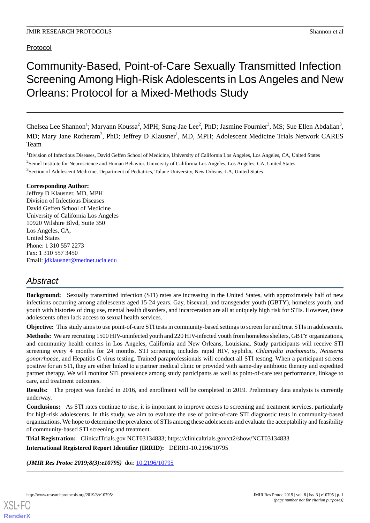## Protocol

# Community-Based, Point-of-Care Sexually Transmitted Infection Screening Among High-Risk Adolescents in Los Angeles and New Orleans: Protocol for a Mixed-Methods Study

Chelsea Lee Shannon<sup>1</sup>; Maryann Koussa<sup>2</sup>, MPH; Sung-Jae Lee<sup>2</sup>, PhD; Jasmine Fournier<sup>3</sup>, MS; Sue Ellen Abdalian<sup>3</sup>, MD; Mary Jane Rotheram<sup>2</sup>, PhD; Jeffrey D Klausner<sup>1</sup>, MD, MPH; Adolescent Medicine Trials Network CARES Team

<sup>1</sup>Division of Infectious Diseases, David Geffen School of Medicine, University of California Los Angeles, Los Angeles, CA, United States

 $2$ Semel Institute for Neuroscience and Human Behavior, University of California Los Angeles, Los Angeles, CA, United States

<sup>3</sup>Section of Adolescent Medicine, Department of Pediatrics, Tulane University, New Orleans, LA, United States

#### **Corresponding Author:**

Jeffrey D Klausner, MD, MPH Division of Infectious Diseases David Geffen School of Medicine University of California Los Angeles 10920 Wilshire Blvd, Suite 350 Los Angeles, CA, United States Phone: 1 310 557 2273 Fax: 1 310 557 3450 Email: [jdklausner@mednet.ucla.edu](mailto:jdklausner@mednet.ucla.edu)

## *Abstract*

**Background:** Sexually transmitted infection (STI) rates are increasing in the United States, with approximately half of new infections occurring among adolescents aged 15-24 years. Gay, bisexual, and transgender youth (GBTY), homeless youth, and youth with histories of drug use, mental health disorders, and incarceration are all at uniquely high risk for STIs. However, these adolescents often lack access to sexual health services.

**Objective:** This study aims to use point-of-care STI tests in community-based settings to screen for and treat STIs in adolescents.

**Methods:** We are recruiting 1500 HIV-uninfected youth and 220 HIV-infected youth from homeless shelters, GBTY organizations, and community health centers in Los Angeles, California and New Orleans, Louisiana. Study participants will receive STI screening every 4 months for 24 months. STI screening includes rapid HIV, syphilis, *Chlamydia trachomatis, Neisseria gonorrhoeae,* and Hepatitis C virus testing. Trained paraprofessionals will conduct all STI testing. When a participant screens positive for an STI, they are either linked to a partner medical clinic or provided with same-day antibiotic therapy and expedited partner therapy. We will monitor STI prevalence among study participants as well as point-of-care test performance, linkage to care, and treatment outcomes.

**Results:** The project was funded in 2016, and enrollment will be completed in 2019. Preliminary data analysis is currently underway.

**Conclusions:** As STI rates continue to rise, it is important to improve access to screening and treatment services, particularly for high-risk adolescents. In this study, we aim to evaluate the use of point-of-care STI diagnostic tests in community-based organizations. We hope to determine the prevalence of STIs among these adolescents and evaluate the acceptability and feasibility of community-based STI screening and treatment.

**Trial Registration:** ClinicalTrials.gov NCT03134833; https://clinicaltrials.gov/ct2/show/NCT03134833 **International Registered Report Identifier (IRRID):** DERR1-10.2196/10795

*(JMIR Res Protoc 2019;8(3):e10795)* doi: [10.2196/10795](http://dx.doi.org/10.2196/10795)

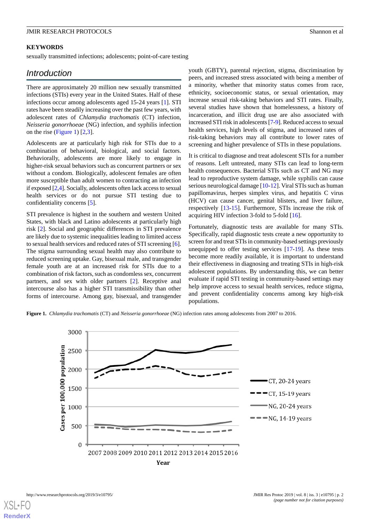#### **KEYWORDS**

sexually transmitted infections; adolescents; point-of-care testing

## *Introduction*

There are approximately 20 million new sexually transmitted infections (STIs) every year in the United States. Half of these infections occur among adolescents aged 15-24 years [\[1](#page-7-0)]. STI rates have been steadily increasing over the past few years, with adolescent rates of *Chlamydia trachomatis* (CT) infection, *Neisseria gonorrhoeae* (NG) infection, and syphilis infection on the rise [\(Figure 1\)](#page-1-0)  $[2,3]$  $[2,3]$  $[2,3]$  $[2,3]$ .

Adolescents are at particularly high risk for STIs due to a combination of behavioral, biological, and social factors. Behaviorally, adolescents are more likely to engage in higher-risk sexual behaviors such as concurrent partners or sex without a condom. Biologically, adolescent females are often more susceptible than adult women to contracting an infection if exposed [[2](#page-7-1),[4\]](#page-7-3). Socially, adolescents often lack access to sexual health services or do not pursue STI testing due to confidentiality concerns [\[5\]](#page-7-4).

STI prevalence is highest in the southern and western United States, with black and Latino adolescents at particularly high risk [\[2](#page-7-1)]. Social and geographic differences in STI prevalence are likely due to systemic inequalities leading to limited access to sexual health services and reduced rates of STI screening [[6\]](#page-7-5). The stigma surrounding sexual health may also contribute to reduced screening uptake. Gay, bisexual male, and transgender female youth are at an increased risk for STIs due to a combination of risk factors, such as condomless sex, concurrent partners, and sex with older partners [\[2](#page-7-1)]. Receptive anal intercourse also has a higher STI transmissibility than other forms of intercourse. Among gay, bisexual, and transgender youth (GBTY), parental rejection, stigma, discrimination by peers, and increased stress associated with being a member of a minority, whether that minority status comes from race, ethnicity, socioeconomic status, or sexual orientation, may increase sexual risk-taking behaviors and STI rates. Finally, several studies have shown that homelessness, a history of incarceration, and illicit drug use are also associated with increased STI risk in adolescents [\[7-](#page-7-6)[9\]](#page-7-7). Reduced access to sexual health services, high levels of stigma, and increased rates of risk-taking behaviors may all contribute to lower rates of screening and higher prevalence of STIs in these populations.

It is critical to diagnose and treat adolescent STIs for a number of reasons. Left untreated, many STIs can lead to long-term health consequences. Bacterial STIs such as CT and NG may lead to reproductive system damage, while syphilis can cause serious neurological damage [[10-](#page-7-8)[12](#page-7-9)]. Viral STIs such as human papillomavirus, herpes simplex virus, and hepatitis C virus (HCV) can cause cancer, genital blisters, and liver failure, respectively [\[13](#page-7-10)[-15](#page-7-11)]. Furthermore, STIs increase the risk of acquiring HIV infection 3-fold to 5-fold [[16\]](#page-7-12).

Fortunately, diagnostic tests are available for many STIs. Specifically, rapid diagnostic tests create a new opportunity to screen for and treat STIs in community-based settings previously unequipped to offer testing services [\[17](#page-7-13)[-19](#page-8-0)]. As these tests become more readily available, it is important to understand their effectiveness in diagnosing and treating STIs in high-risk adolescent populations. By understanding this, we can better evaluate if rapid STI testing in community-based settings may help improve access to sexual health services, reduce stigma, and prevent confidentiality concerns among key high-risk populations.

<span id="page-1-0"></span>**Figure 1.** *Chlamydia trachomatis* (CT) and *Neisseria gonorrhoeae* (NG) infection rates among adolescents from 2007 to 2016.

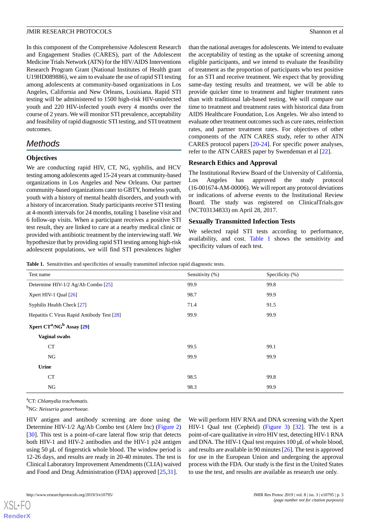In this component of the Comprehensive Adolescent Research and Engagement Studies (CARES), part of the Adolescent Medicine Trials Network (ATN) for the HIV/AIDS Interventions Research Program Grant (National Institutes of Health grant U19HD089886), we aim to evaluate the use of rapid STI testing among adolescents at community-based organizations in Los Angeles, California and New Orleans, Louisiana. Rapid STI testing will be administered to 1500 high-risk HIV-uninfected youth and 220 HIV-infected youth every 4 months over the course of 2 years. We will monitor STI prevalence, acceptability and feasibility of rapid diagnostic STI testing, and STI treatment outcomes.

## *Methods*

## **Objectives**

We are conducting rapid HIV, CT, NG, syphilis, and HCV testing among adolescents aged 15-24 years at community-based organizations in Los Angeles and New Orleans. Our partner community-based organizations cater to GBTY, homeless youth, youth with a history of mental health disorders, and youth with a history of incarceration. Study participants receive STI testing at 4-month intervals for 24 months, totaling 1 baseline visit and 6 follow-up visits. When a participant receives a positive STI test result, they are linked to care at a nearby medical clinic or provided with antibiotic treatment by the interviewing staff. We hypothesize that by providing rapid STI testing among high-risk adolescent populations, we will find STI prevalences higher than the national averages for adolescents. We intend to evaluate the acceptability of testing as the uptake of screening among eligible participants, and we intend to evaluate the feasibility of treatment as the proportion of participants who test positive for an STI and receive treatment. We expect that by providing same-day testing results and treatment, we will be able to provide quicker time to treatment and higher treatment rates than with traditional lab-based testing. We will compare our time to treatment and treatment rates with historical data from AIDS Healthcare Foundation, Los Angeles. We also intend to evaluate other treatment outcomes such as cure rates, reinfection rates, and partner treatment rates. For objectives of other components of the ATN CARES study, refer to other ATN CARES protocol papers [[20](#page-8-1)[-24](#page-8-2)]. For specific power analyses, refer to the ATN CARES paper by Swendeman et al [\[22](#page-8-3)].

## **Research Ethics and Approval**

The Institutional Review Board of the University of California, Los Angeles has approved the study protocol (16-001674-AM-00006). We will report any protocol deviations or indications of adverse events to the Institutional Review Board. The study was registered on ClinicalTrials.gov (NCT03134833) on April 28, 2017.

## **Sexually Transmitted Infection Tests**

We selected rapid STI tests according to performance, availability, and cost. [Table 1](#page-2-0) shows the sensitivity and specificity values of each test.

<span id="page-2-0"></span>**Table 1.** Sensitivities and specificities of sexually transmitted infection rapid diagnostic tests.

| Test name                                         | Sensitivity (%) | Specificity (%) |
|---------------------------------------------------|-----------------|-----------------|
| Determine HIV-1/2 Ag/Ab Combo [25]                | 99.9            | 99.8            |
| Xpert HIV-1 Qual $[26]$                           | 98.7            | 99.9            |
| Syphilis Health Check [27]                        | 71.4            | 91.5            |
| Hepatitis C Virus Rapid Antibody Test [28]        | 99.9            | 99.9            |
| Xpert CT <sup>a</sup> /NG <sup>b</sup> Assay [29] |                 |                 |
| Vaginal swabs                                     |                 |                 |
| CT                                                | 99.5            | 99.1            |
| NG                                                | 99.9            | 99.9            |
| Urine                                             |                 |                 |
| CT                                                | 98.5            | 99.8            |
| NG                                                | 98.3            | 99.9            |

<sup>a</sup>CT: *Chlamydia trachomatis.*

<sup>b</sup>NG: *Neisseria gonorrhoeae.*

HIV antigen and antibody screening are done using the Determine HIV-1/2 Ag/Ab Combo test (Alere Inc) [\(Figure 2](#page-3-0)) [[30\]](#page-8-9). This test is a point-of-care lateral flow strip that detects both HIV-1 and HIV-2 antibodies and the HIV-1 p24 antigen using 50 µL of fingerstick whole blood. The window period is 12-26 days, and results are ready in 20-40 minutes. The test is Clinical Laboratory Improvement Amendments (CLIA) waived and Food and Drug Administration (FDA) approved [[25](#page-8-4)[,31](#page-8-10)].

We will perform HIV RNA and DNA screening with the Xpert HIV-1 Qual test (Cepheid) ([Figure 3](#page-3-1)) [\[32](#page-8-11)]. The test is a point-of-care qualitative *in vitro* HIV test, detecting HIV-1 RNA and DNA. The HIV-1 Qual test requires 100 µL of whole blood, and results are available in 90 minutes [\[26\]](#page-8-5). The test is approved for use in the European Union and undergoing the approval process with the FDA. Our study is the first in the United States to use the test, and results are available as research use only.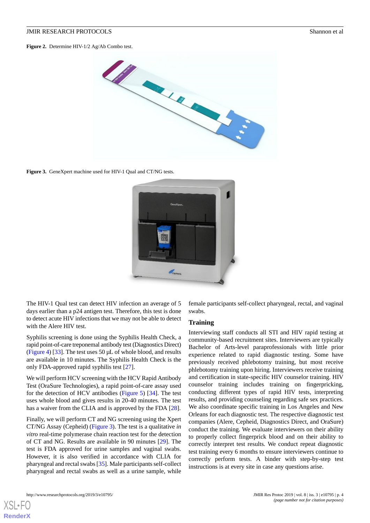<span id="page-3-0"></span>**Figure 2.** Determine HIV-1/2 Ag/Ab Combo test.



<span id="page-3-1"></span>Figure 3. GeneXpert machine used for HIV-1 Qual and CT/NG tests.



The HIV-1 Qual test can detect HIV infection an average of 5 days earlier than a p24 antigen test. Therefore, this test is done to detect acute HIV infections that we may not be able to detect with the Alere HIV test.

Syphilis screening is done using the Syphilis Health Check, a rapid point-of-care treponemal antibody test (Diagnostics Direct) ([Figure 4](#page-4-0)) [[33\]](#page-8-12). The test uses 50 µL of whole blood, and results are available in 10 minutes. The Syphilis Health Check is the only FDA-approved rapid syphilis test [[27\]](#page-8-6).

We will perform HCV screening with the HCV Rapid Antibody Test (OraSure Technologies), a rapid point-of-care assay used for the detection of HCV antibodies ([Figure 5](#page-4-1)) [\[34](#page-8-13)]. The test uses whole blood and gives results in 20-40 minutes. The test has a waiver from the CLIA and is approved by the FDA [\[28](#page-8-7)].

Finally, we will perform CT and NG screening using the Xpert CT/NG Assay (Cepheid) ([Figure 3](#page-3-1)). The test is a qualitative *in vitro* real-time polymerase chain reaction test for the detection of CT and NG. Results are available in 90 minutes [\[29](#page-8-8)]. The test is FDA approved for urine samples and vaginal swabs. However, it is also verified in accordance with CLIA for pharyngeal and rectal swabs [[35\]](#page-8-14). Male participants self-collect pharyngeal and rectal swabs as well as a urine sample, while

female participants self-collect pharyngeal, rectal, and vaginal swabs.

#### **Training**

Interviewing staff conducts all STI and HIV rapid testing at community-based recruitment sites. Interviewers are typically Bachelor of Arts-level paraprofessionals with little prior experience related to rapid diagnostic testing. Some have previously received phlebotomy training, but most receive phlebotomy training upon hiring. Interviewers receive training and certification in state-specific HIV counselor training. HIV counselor training includes training on fingerpricking, conducting different types of rapid HIV tests, interpreting results, and providing counseling regarding safe sex practices. We also coordinate specific training in Los Angeles and New Orleans for each diagnostic test. The respective diagnostic test companies (Alere, Cepheid, Diagnostics Direct, and OraSure) conduct the training. We evaluate interviewers on their ability to properly collect fingerprick blood and on their ability to correctly interpret test results. We conduct repeat diagnostic test training every 6 months to ensure interviewers continue to correctly perform tests. A binder with step-by-step test instructions is at every site in case any questions arise.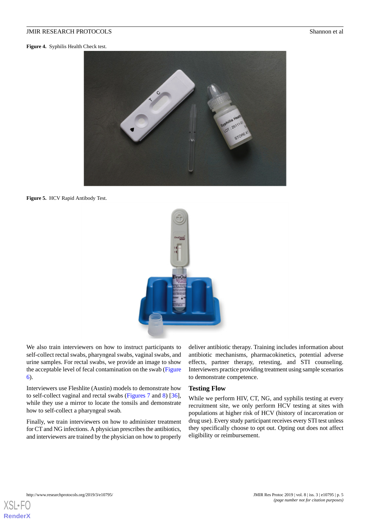<span id="page-4-0"></span>**Figure 4.** Syphilis Health Check test.



**Figure 5.** HCV Rapid Antibody Test.

<span id="page-4-1"></span>

We also train interviewers on how to instruct participants to self-collect rectal swabs, pharyngeal swabs, vaginal swabs, and urine samples. For rectal swabs, we provide an image to show the acceptable level of fecal contamination on the swab ([Figure](#page-5-0) [6\)](#page-5-0).

Interviewers use Fleshlite (Austin) models to demonstrate how to self-collect vaginal and rectal swabs [\(Figures 7](#page-5-1) and [8](#page-5-2)) [[36\]](#page-8-15), while they use a mirror to locate the tonsils and demonstrate how to self-collect a pharyngeal swab.

Finally, we train interviewers on how to administer treatment for CT and NG infections. A physician prescribes the antibiotics, and interviewers are trained by the physician on how to properly deliver antibiotic therapy. Training includes information about antibiotic mechanisms, pharmacokinetics, potential adverse effects, partner therapy, retesting, and STI counseling. Interviewers practice providing treatment using sample scenarios to demonstrate competence.

#### **Testing Flow**

While we perform HIV, CT, NG, and syphilis testing at every recruitment site, we only perform HCV testing at sites with populations at higher risk of HCV (history of incarceration or drug use). Every study participant receives every STI test unless they specifically choose to opt out. Opting out does not affect eligibility or reimbursement.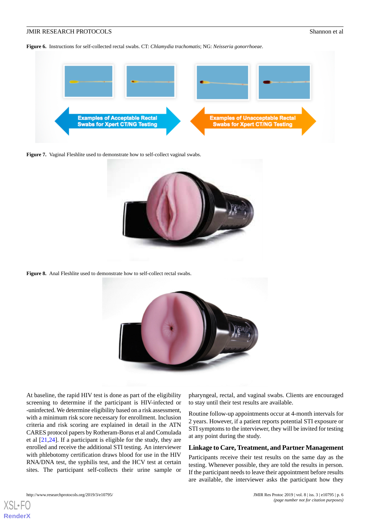<span id="page-5-0"></span>**Figure 6.** Instructions for self-collected rectal swabs. CT: *Chlamydia trachomatis*; NG: *Neisseria gonorrhoeae*.



<span id="page-5-1"></span>Figure 7. Vaginal Fleshlite used to demonstrate how to self-collect vaginal swabs.



<span id="page-5-2"></span>Figure 8. Anal Fleshlite used to demonstrate how to self-collect rectal swabs.



At baseline, the rapid HIV test is done as part of the eligibility screening to determine if the participant is HIV-infected or -uninfected. We determine eligibility based on a risk assessment, with a minimum risk score necessary for enrollment. Inclusion criteria and risk scoring are explained in detail in the ATN CARES protocol papers by Rotheram-Borus et al and Comulada et al [\[21](#page-8-16),[24\]](#page-8-2). If a participant is eligible for the study, they are enrolled and receive the additional STI testing. An interviewer with phlebotomy certification draws blood for use in the HIV RNA/DNA test, the syphilis test, and the HCV test at certain sites. The participant self-collects their urine sample or pharyngeal, rectal, and vaginal swabs. Clients are encouraged to stay until their test results are available.

Routine follow-up appointments occur at 4-month intervals for 2 years. However, if a patient reports potential STI exposure or STI symptoms to the interviewer, they will be invited for testing at any point during the study.

#### **Linkage to Care, Treatment, and Partner Management**

Participants receive their test results on the same day as the testing. Whenever possible, they are told the results in person. If the participant needs to leave their appointment before results are available, the interviewer asks the participant how they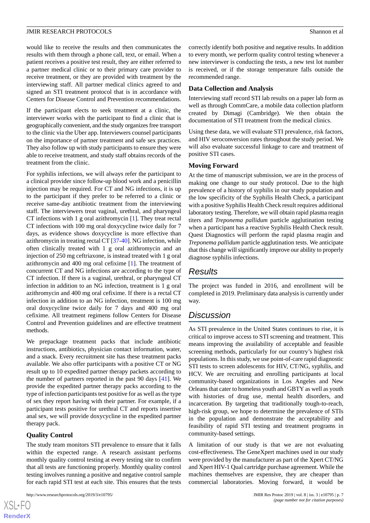would like to receive the results and then communicates the results with them through a phone call, text, or email. When a patient receives a positive test result, they are either referred to a partner medical clinic or to their primary care provider to receive treatment, or they are provided with treatment by the interviewing staff. All partner medical clinics agreed to and signed an STI treatment protocol that is in accordance with Centers for Disease Control and Prevention recommendations.

If the participant elects to seek treatment at a clinic, the interviewer works with the participant to find a clinic that is geographically convenient, and the study organizes free transport to the clinic via the Uber app. Interviewers counsel participants on the importance of partner treatment and safe sex practices. They also follow up with study participants to ensure they were able to receive treatment, and study staff obtains records of the treatment from the clinic.

For syphilis infections, we will always refer the participant to a clinical provider since follow-up blood work and a penicillin injection may be required. For CT and NG infections, it is up to the participant if they prefer to be referred to a clinic or receive same-day antibiotic treatment from the interviewing staff. The interviewers treat vaginal, urethral, and pharyngeal CT infections with 1 g oral azithromycin [\[1\]](#page-7-0). They treat rectal CT infections with 100 mg oral doxycycline twice daily for 7 days, as evidence shows doxycycline is more effective than azithromycin in treating rectal CT [[37](#page-8-17)[-40](#page-8-18)]. NG infection, while often clinically treated with 1 g oral azithromycin and an injection of 250 mg ceftriaxone, is instead treated with 1 g oral azithromycin and 400 mg oral cefixime [[1\]](#page-7-0). The treatment of concurrent CT and NG infections are according to the type of CT infection. If there is a vaginal, urethral, or pharyngeal CT infection in addition to an NG infection, treatment is 1 g oral azithromycin and 400 mg oral cefixime. If there is a rectal CT infection in addition to an NG infection, treatment is 100 mg oral doxycycline twice daily for 7 days and 400 mg oral cefixime. All treatment regimens follow Centers for Disease Control and Prevention guidelines and are effective treatment methods.

We prepackage treatment packs that include antibiotic instructions, antibiotics, physician contact information, water, and a snack. Every recruitment site has these treatment packs available. We also offer participants with a positive CT or NG result up to 10 expedited partner therapy packets according to the number of partners reported in the past 90 days [[41\]](#page-9-0). We provide the expedited partner therapy packs according to the type of infection participants test positive for as well as the type of sex they report having with their partner. For example, if a participant tests positive for urethral CT and reports insertive anal sex, we will provide doxycycline in the expedited partner therapy pack.

#### **Quality Control**

The study team monitors STI prevalence to ensure that it falls within the expected range. A research assistant performs monthly quality control testing at every testing site to confirm that all tests are functioning properly. Monthly quality control testing involves running a positive and negative control sample for each rapid STI test at each site. This ensures that the tests

correctly identify both positive and negative results. In addition to every month, we perform quality control testing whenever a new interviewer is conducting the tests, a new test lot number is received, or if the storage temperature falls outside the recommended range.

#### **Data Collection and Analysis**

Interviewing staff record STI lab results on a paper lab form as well as through CommCare, a mobile data collection platform created by Dimagi (Cambridge). We then obtain the documentation of STI treatment from the medical clinics.

Using these data, we will evaluate STI prevalence, risk factors, and HIV seroconversion rates throughout the study period. We will also evaluate successful linkage to care and treatment of positive STI cases.

#### **Moving Forward**

At the time of manuscript submission, we are in the process of making one change to our study protocol. Due to the high prevalence of a history of syphilis in our study population and the low specificity of the Syphilis Health Check, a participant with a positive Syphilis Health Check result requires additional laboratory testing. Therefore, we will obtain rapid plasma reagin titers and *Treponema pallidum* particle agglutination testing when a participant has a reactive Syphilis Health Check result. Quest Diagnostics will perform the rapid plasma reagin and *Treponema pallidum* particle agglutination tests. We anticipate that this change will significantly improve our ability to properly diagnose syphilis infections.

## *Results*

The project was funded in 2016, and enrollment will be completed in 2019. Preliminary data analysis is currently under way.

## *Discussion*

As STI prevalence in the United States continues to rise, it is critical to improve access to STI screening and treatment. This means improving the availability of acceptable and feasible screening methods, particularly for our country's highest risk populations. In this study, we use point-of-care rapid diagnostic STI tests to screen adolescents for HIV, CT/NG, syphilis, and HCV. We are recruiting and enrolling participants at local community-based organizations in Los Angeles and New Orleans that cater to homeless youth and GBTY as well as youth with histories of drug use, mental health disorders, and incarceration. By targeting that traditionally tough-to-reach, high-risk group, we hope to determine the prevalence of STIs in the population and demonstrate the acceptability and feasibility of rapid STI testing and treatment programs in community-based settings.

A limitation of our study is that we are not evaluating cost-effectiveness. The GeneXpert machines used in our study were provided by the manufacturer as part of the Xpert CT/NG and Xpert HIV-1 Qual cartridge purchase agreement. While the machines themselves are expensive, they are cheaper than commercial laboratories. Moving forward, it would be

```
XSJ \cdot FRenderX
```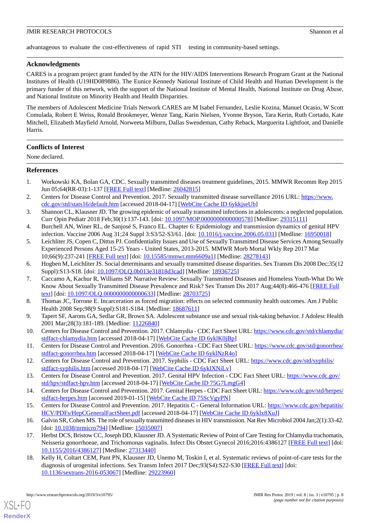advantageous to evaluate the cost-effectiveness of rapid STI testing in community-based settings.

### **Acknowledgments**

CARES is a program project grant funded by the ATN for the HIV/AIDS Interventions Research Program Grant at the National Institutes of Health (U19HD089886). The Eunice Kennedy National Institute of Child Health and Human Development is the primary funder of this network, with the support of the National Institute of Mental Health, National Institute on Drug Abuse, and National Institute on Minority Health and Health Disparities.

The members of Adolescent Medicine Trials Network CARES are M Isabel Fernandez, Leslie Kozina, Manuel Ocasio, W Scott Comulada, Robert E Weiss, Ronald Brookmeyer, Wenze Tang, Karin Nielsen, Yvonne Bryson, Tara Kerin, Ruth Cortado, Kate Mitchell, Elizabeth Mayfield Arnold, Norweeta Milburn, Dallas Swendeman, Cathy Reback, Marguerita Lightfoot, and Danielle Harris.

### **Conflicts of Interest**

None declared.

#### <span id="page-7-0"></span>**References**

- <span id="page-7-1"></span>1. Workowski KA, Bolan GA, CDC. Sexually transmitted diseases treatment guidelines, 2015. MMWR Recomm Rep 2015 Jun 05;64(RR-03):1-137 [[FREE Full text](https://www.cdc.gov/mmwr/preview/mmwrhtml/rr6403a1.htm)] [Medline: [26042815](http://www.ncbi.nlm.nih.gov/entrez/query.fcgi?cmd=Retrieve&db=PubMed&list_uids=26042815&dopt=Abstract)]
- <span id="page-7-3"></span><span id="page-7-2"></span>2. Centers for Disease Control and Prevention. 2017. Sexually transmitted disease surveillance 2016 URL: [https://www.](https://www.cdc.gov/std/stats16/default.htm) [cdc.gov/std/stats16/default.htm](https://www.cdc.gov/std/stats16/default.htm) [accessed 2018-04-17] [\[WebCite Cache ID 6ykkjseUb\]](http://www.webcitation.org/

                                6ykkjseUb)
- <span id="page-7-4"></span>3. Shannon CL, Klausner JD. The growing epidemic of sexually transmitted infections in adolescents: a neglected population. Curr Opin Pediatr 2018 Feb;30(1):137-143. [doi: [10.1097/MOP.0000000000000578\]](http://dx.doi.org/10.1097/MOP.0000000000000578) [Medline: [29315111](http://www.ncbi.nlm.nih.gov/entrez/query.fcgi?cmd=Retrieve&db=PubMed&list_uids=29315111&dopt=Abstract)]
- 4. Burchell AN, Winer RL, de Sanjosé S, Franco EL. Chapter 6: Epidemiology and transmission dynamics of genital HPV infection. Vaccine 2006 Aug 31;24 Suppl 3:S3/52-S3/61. [doi: [10.1016/j.vaccine.2006.05.031](http://dx.doi.org/10.1016/j.vaccine.2006.05.031)] [Medline: [16950018\]](http://www.ncbi.nlm.nih.gov/entrez/query.fcgi?cmd=Retrieve&db=PubMed&list_uids=16950018&dopt=Abstract)
- <span id="page-7-6"></span><span id="page-7-5"></span>5. Leichliter JS, Copen C, Dittus PJ. Confidentiality Issues and Use of Sexually Transmitted Disease Services Among Sexually Experienced Persons Aged 15-25 Years - United States, 2013-2015. MMWR Morb Mortal Wkly Rep 2017 Mar 10;66(9):237-241 [[FREE Full text](https://dx.doi.org/10.15585/mmwr.mm6609a1)] [doi: [10.15585/mmwr.mm6609a1\]](http://dx.doi.org/10.15585/mmwr.mm6609a1) [Medline: [28278143\]](http://www.ncbi.nlm.nih.gov/entrez/query.fcgi?cmd=Retrieve&db=PubMed&list_uids=28278143&dopt=Abstract)
- 6. Hogben M, Leichliter JS. Social determinants and sexually transmitted disease disparities. Sex Transm Dis 2008 Dec;35(12 Suppl):S13-S18. [doi: [10.1097/OLQ.0b013e31818d3cad\]](http://dx.doi.org/10.1097/OLQ.0b013e31818d3cad) [Medline: [18936725](http://www.ncbi.nlm.nih.gov/entrez/query.fcgi?cmd=Retrieve&db=PubMed&list_uids=18936725&dopt=Abstract)]
- <span id="page-7-7"></span>7. Caccamo A, Kachur R, Williams SP. Narrative Review: Sexually Transmitted Diseases and Homeless Youth-What Do We Know About Sexually Transmitted Disease Prevalence and Risk? Sex Transm Dis 2017 Aug;44(8):466-476 [[FREE Full](http://europepmc.org/abstract/MED/28703725) [text](http://europepmc.org/abstract/MED/28703725)] [doi: [10.1097/OLQ.0000000000000633\]](http://dx.doi.org/10.1097/OLQ.0000000000000633) [Medline: [28703725\]](http://www.ncbi.nlm.nih.gov/entrez/query.fcgi?cmd=Retrieve&db=PubMed&list_uids=28703725&dopt=Abstract)
- <span id="page-7-8"></span>8. Thomas JC, Torrone E. Incarceration as forced migration: effects on selected community health outcomes. Am J Public Health 2008 Sep;98(9 Suppl):S181-S184. [Medline: [18687611\]](http://www.ncbi.nlm.nih.gov/entrez/query.fcgi?cmd=Retrieve&db=PubMed&list_uids=18687611&dopt=Abstract)
- 9. Tapert SF, Aarons GA, Sedlar GR, Brown SA. Adolescent substance use and sexual risk-taking behavior. J Adolesc Health 2001 Mar;28(3):181-189. [Medline: [11226840](http://www.ncbi.nlm.nih.gov/entrez/query.fcgi?cmd=Retrieve&db=PubMed&list_uids=11226840&dopt=Abstract)]
- <span id="page-7-10"></span><span id="page-7-9"></span>10. Centers for Disease Control and Prevention. 2017. Chlamydia - CDC Fact Sheet URL: [https://www.cdc.gov/std/chlamydia/](https://www.cdc.gov/std/chlamydia/stdfact-chlamydia.htm) [stdfact-chlamydia.htm](https://www.cdc.gov/std/chlamydia/stdfact-chlamydia.htm) [accessed 2018-04-17] [\[WebCite Cache ID 6yklK0jBp\]](http://www.webcitation.org/

                                6yklK0jBp)
- 11. Centers for Disease Control and Prevention. 2016. Gonorrhea CDC Fact Sheet URL: [https://www.cdc.gov/std/gonorrhea/](https://www.cdc.gov/std/gonorrhea/stdfact-gonorrhea.htm) [stdfact-gonorrhea.htm](https://www.cdc.gov/std/gonorrhea/stdfact-gonorrhea.htm) [accessed 2018-04-17] [\[WebCite Cache ID 6yklNzR4o](http://www.webcitation.org/

                                6yklNzR4o)]
- <span id="page-7-11"></span>12. Centers for Disease Control and Prevention. 2017. Syphilis - CDC Fact Sheet URL: [https://www.cdc.gov/std/syphilis/](https://www.cdc.gov/std/syphilis/stdfact-syphilis.htm) [stdfact-syphilis.htm](https://www.cdc.gov/std/syphilis/stdfact-syphilis.htm) [accessed 2018-04-17] [[WebCite Cache ID 6yklXNiLv\]](http://www.webcitation.org/

                                6yklXNiLv)
- <span id="page-7-12"></span>13. Centers for Disease Control and Prevention. 2017. Genital HPV Infection - CDC Fact Sheet URL: [https://www.cdc.gov/](https://www.cdc.gov/std/hpv/stdfact-hpv.htm) [std/hpv/stdfact-hpv.htm](https://www.cdc.gov/std/hpv/stdfact-hpv.htm) [accessed 2018-04-17] [\[WebCite Cache ID 75G7LmgG4](http://www.webcitation.org/

                                75G7LmgG4)]
- <span id="page-7-13"></span>14. Centers for Disease Control and Prevention. 2017. Genital Herpes - CDC Fact Sheet URL: [https://www.cdc.gov/std/herpes/](https://www.cdc.gov/std/herpes/stdfact-herpes.htm) [stdfact-herpes.htm](https://www.cdc.gov/std/herpes/stdfact-herpes.htm) [accessed 2019-01-15] [[WebCite Cache ID 75ScVgyPN\]](http://www.webcitation.org/

                                75ScVgyPN)
- 15. Centers for Disease Control and Prevention. 2017. Hepatitis C General Information URL: [https://www.cdc.gov/hepatitis/](https://www.cdc.gov/hepatitis/HCV/PDFs/HepCGeneralFactSheet.pdf) [HCV/PDFs/HepCGeneralFactSheet.pdf](https://www.cdc.gov/hepatitis/HCV/PDFs/HepCGeneralFactSheet.pdf) [accessed 2018-04-17] [[WebCite Cache ID 6yklx8XuJ](http://www.webcitation.org/

                                6yklx8XuJ)]
- 16. Galvin SR, Cohen MS. The role of sexually transmitted diseases in HIV transmission. Nat Rev Microbiol 2004 Jan;2(1):33-42. [doi: [10.1038/nrmicro794\]](http://dx.doi.org/10.1038/nrmicro794) [Medline: [15035007\]](http://www.ncbi.nlm.nih.gov/entrez/query.fcgi?cmd=Retrieve&db=PubMed&list_uids=15035007&dopt=Abstract)
- 17. Herbst DCS, Bristow CC, Joseph DD, Klausner JD. A Systematic Review of Point of Care Testing for Chlamydia trachomatis, Neisseria gonorrhoeae, and Trichomonas vaginalis. Infect Dis Obstet Gynecol 2016;2016:4386127 [[FREE Full text\]](https://dx.doi.org/10.1155/2016/4386127) [doi: [10.1155/2016/4386127\]](http://dx.doi.org/10.1155/2016/4386127) [Medline: [27313440](http://www.ncbi.nlm.nih.gov/entrez/query.fcgi?cmd=Retrieve&db=PubMed&list_uids=27313440&dopt=Abstract)]
- 18. Kelly H, Coltart CEM, Pant PN, Klausner JD, Unemo M, Toskin I, et al. Systematic reviews of point-of-care tests for the diagnosis of urogenital infections. Sex Transm Infect 2017 Dec;93(S4):S22-S30 [[FREE Full text](http://sti.bmj.com/cgi/pmidlookup?view=long&pmid=29223960)] [doi: [10.1136/sextrans-2016-053067](http://dx.doi.org/10.1136/sextrans-2016-053067)] [Medline: [29223960\]](http://www.ncbi.nlm.nih.gov/entrez/query.fcgi?cmd=Retrieve&db=PubMed&list_uids=29223960&dopt=Abstract)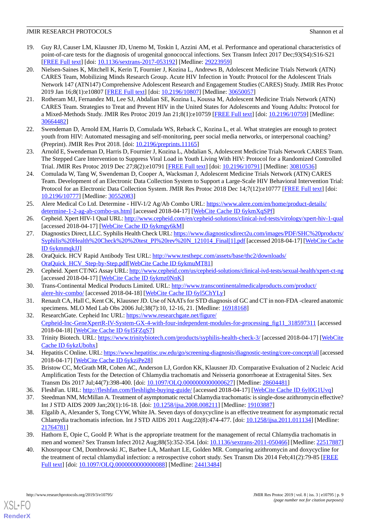- <span id="page-8-0"></span>19. Guy RJ, Causer LM, Klausner JD, Unemo M, Toskin I, Azzini AM, et al. Performance and operational characteristics of point-of-care tests for the diagnosis of urogenital gonococcal infections. Sex Transm Infect 2017 Dec;93(S4):S16-S21 [[FREE Full text](http://sti.bmj.com/cgi/pmidlookup?view=long&pmid=29223959)] [doi: [10.1136/sextrans-2017-053192](http://dx.doi.org/10.1136/sextrans-2017-053192)] [Medline: [29223959\]](http://www.ncbi.nlm.nih.gov/entrez/query.fcgi?cmd=Retrieve&db=PubMed&list_uids=29223959&dopt=Abstract)
- <span id="page-8-1"></span>20. Nielsen-Saines K, Mitchell K, Kerin T, Fournier J, Kozina L, Andrews B, Adolescent Medicine Trials Network (ATN) CARES Team, Mobilizing Minds Research Group. Acute HIV Infection in Youth: Protocol for the Adolescent Trials Network 147 (ATN147) Comprehensive Adolescent Research and Engagement Studies (CARES) Study. JMIR Res Protoc 2019 Jan 16;8(1):e10807 [\[FREE Full text\]](http://www.researchprotocols.org/2019/1/e10807/) [doi: [10.2196/10807](http://dx.doi.org/10.2196/10807)] [Medline: [30650057](http://www.ncbi.nlm.nih.gov/entrez/query.fcgi?cmd=Retrieve&db=PubMed&list_uids=30650057&dopt=Abstract)]
- <span id="page-8-16"></span>21. Rotheram MJ, Fernandez MI, Lee SJ, Abdalian SE, Kozina L, Koussa M, Adolescent Medicine Trials Network (ATN) CARES Team. Strategies to Treat and Prevent HIV in the United States for Adolescents and Young Adults: Protocol for a Mixed-Methods Study. JMIR Res Protoc 2019 Jan 21;8(1):e10759 [\[FREE Full text\]](http://www.researchprotocols.org/2019/1/e10759/) [doi: [10.2196/10759](http://dx.doi.org/10.2196/10759)] [Medline: [30664482](http://www.ncbi.nlm.nih.gov/entrez/query.fcgi?cmd=Retrieve&db=PubMed&list_uids=30664482&dopt=Abstract)]
- <span id="page-8-3"></span>22. Swendeman D, Arnold EM, Harris D, Comulada WS, Reback C, Kozina L, et al. What strategies are enough to protect youth from HIV: Automated messaging and self-monitoring, peer social media networks, or interpersonal coaching? (Preprint). JMIR Res Prot 2018. [doi: [10.2196/preprints.11165](http://dx.doi.org/10.2196/preprints.11165)]
- <span id="page-8-2"></span>23. Arnold E, Swendeman D, Harris D, Fournier J, Kozina L, Abdalian S, Adolescent Medicine Trials Network CARES Team. The Stepped Care Intervention to Suppress Viral Load in Youth Living With HIV: Protocol for a Randomized Controlled Trial. JMIR Res Protoc 2019 Dec 27;8(2):e10791 [[FREE Full text](http://www.researchprotocols.org/2019/2/e10791/)] [doi: [10.2196/10791](http://dx.doi.org/10.2196/10791)] [Medline: [30810536](http://www.ncbi.nlm.nih.gov/entrez/query.fcgi?cmd=Retrieve&db=PubMed&list_uids=30810536&dopt=Abstract)]
- <span id="page-8-4"></span>24. Comulada W, Tang W, Swendeman D, Cooper A, Wacksman J, Adolescent Medicine Trials Network (ATN) CARES Team. Development of an Electronic Data Collection System to Support a Large-Scale HIV Behavioral Intervention Trial: Protocol for an Electronic Data Collection System. JMIR Res Protoc 2018 Dec 14;7(12):e10777 [[FREE Full text](http://www.researchprotocols.org/2018/12/e10777/)] [doi: [10.2196/10777\]](http://dx.doi.org/10.2196/10777) [Medline: [30552083\]](http://www.ncbi.nlm.nih.gov/entrez/query.fcgi?cmd=Retrieve&db=PubMed&list_uids=30552083&dopt=Abstract)
- <span id="page-8-6"></span><span id="page-8-5"></span>25. Alere Medical Co Ltd. Determine - HIV-1/2 Ag/Ab Combo URL: [https://www.alere.com/en/home/product-details/](https://www.alere.com/en/home/product-details/determine-1-2-ag-ab-combo-us.html) [determine-1-2-ag-ab-combo-us.html](https://www.alere.com/en/home/product-details/determine-1-2-ag-ab-combo-us.html) [accessed 2018-04-17] [[WebCite Cache ID 6ykmXqSPf\]](http://www.webcitation.org/

                                6ykmXqSPf)
- 26. Cepheid. Xpert HIV-1 Qual URL:<http://www.cepheid.com/en/cepheid-solutions/clinical-ivd-tests/virology/xpert-hiv-1-qual> [accessed 2018-04-17] [\[WebCite Cache ID 6ykmgy6kM\]](http://www.webcitation.org/

                                6ykmgy6kM)
- <span id="page-8-8"></span><span id="page-8-7"></span>27. Diagnostics Direct, LLC. Syphilis Health Check URL: [https://www.diagnosticsdirect2u.com/images/PDF/SHC%20products/](https://www.diagnosticsdirect2u.com/images/PDF/SHC%20products/Syphilis%20Health%20Check%20%20test_PI%20rev%20N_121014_Final[1].pdf) [Syphilis%20Health%20Check%20%20test\\_PI%20rev%20N\\_121014\\_Final\[1\].pdf](https://www.diagnosticsdirect2u.com/images/PDF/SHC%20products/Syphilis%20Health%20Check%20%20test_PI%20rev%20N_121014_Final[1].pdf) [accessed 2018-04-17] [[WebCite Cache](http://www.webcitation.org/

                                6ykmmqkJJ) [ID 6ykmmqkJJ\]](http://www.webcitation.org/

                                6ykmmqkJJ)
- <span id="page-8-9"></span>28. OraQuick. HCV Rapid Antibody Test URL: [http://www.testhepc.com/assets/base/thc2/downloads/](http://www.testhepc.com/assets/base/thc2/downloads/OraQuick_HCV_Step-by-Step.pdf) [OraQuick\\_HCV\\_Step-by-Step.pdf](http://www.testhepc.com/assets/base/thc2/downloads/OraQuick_HCV_Step-by-Step.pdf)[\[WebCite Cache ID 6ykmuMT81](http://www.webcitation.org/

                                6ykmuMT81)]
- <span id="page-8-10"></span>29. Cepheid. Xpert CT/NG Assay URL:<http://www.cepheid.com/us/cepheid-solutions/clinical-ivd-tests/sexual-health/xpert-ct-ng> [accessed 2018-04-17] [\[WebCite Cache ID 6ykmz0NnK\]](http://www.webcitation.org/

                                6ykmz0NnK)
- <span id="page-8-11"></span>30. Trans-Continental Medical Products Limited. URL: [http://www.transcontinentalmedicalproducts.com/product/](http://www.transcontinentalmedicalproducts.com/product/alere-hiv-combo/) [alere-hiv-combo/](http://www.transcontinentalmedicalproducts.com/product/alere-hiv-combo/) [accessed 2018-04-18] [\[WebCite Cache ID 6yl5ChYLy](http://www.webcitation.org/

                                6yl5ChYLy)]
- <span id="page-8-12"></span>31. Renault CA, Hall C, Kent CK, Klausner JD. Use of NAATs for STD diagnosis of GC and CT in non-FDA -cleared anatomic specimens. MLO Med Lab Obs 2006 Jul;38(7):10, 12-16, 21. [Medline: [16918168](http://www.ncbi.nlm.nih.gov/entrez/query.fcgi?cmd=Retrieve&db=PubMed&list_uids=16918168&dopt=Abstract)]
- <span id="page-8-13"></span>32. ResearchGate. Cepheid Inc URL: [https://www.researchgate.net/figure/](https://www.researchgate.net/figure/Cepheid-Inc-GeneXpertR-IV-System-GX-4-with-four-independent-modules-for-processing_fig11_318597311) [Cepheid-Inc-GeneXpertR-IV-System-GX-4-with-four-independent-modules-for-processing\\_fig11\\_318597311](https://www.researchgate.net/figure/Cepheid-Inc-GeneXpertR-IV-System-GX-4-with-four-independent-modules-for-processing_fig11_318597311) [accessed 2018-04-18] [\[WebCite Cache ID 6yl5FZqS7](http://www.webcitation.org/

                                6yl5FZqS7)]
- <span id="page-8-14"></span>33. Trinity Biotech. URL: <https://www.trinitybiotech.com/products/syphilis-health-check-3/> [accessed 2018-04-17] [\[WebCite](http://www.webcitation.org/

                                6ykzUbohx) [Cache ID 6ykzUbohx\]](http://www.webcitation.org/

                                6ykzUbohx)
- <span id="page-8-17"></span><span id="page-8-15"></span>34. Hepatitis C Online. URL:<https://www.hepatitisc.uw.edu/go/screening-diagnosis/diagnostic-testing/core-concept/all> [accessed 2018-04-17] [\[WebCite Cache ID 6ykziPe28](http://www.webcitation.org/

                                6ykziPe28)]
- 35. Bristow CC, McGrath MR, Cohen AC, Anderson LJ, Gordon KK, Klausner JD. Comparative Evaluation of 2 Nucleic Acid Amplification Tests for the Detection of Chlamydia trachomatis and Neisseria gonorrhoeae at Extragenital Sites. Sex Transm Dis 2017 Jul;44(7):398-400. [doi: [10.1097/OLQ.0000000000000627](http://dx.doi.org/10.1097/OLQ.0000000000000627)] [Medline: [28604481\]](http://www.ncbi.nlm.nih.gov/entrez/query.fcgi?cmd=Retrieve&db=PubMed&list_uids=28604481&dopt=Abstract)
- 36. FleshFan. URL:<http://fleshfan.com/fleshlight-buying-guide/> [accessed 2018-04-17] [[WebCite Cache ID 6yl0G1Uvq\]](http://www.webcitation.org/

                 6yl0G1Uvq)
- 37. Steedman NM, McMillan A. Treatment of asymptomatic rectal Chlamydia trachomatis: is single-dose azithromycin effective? Int J STD AIDS 2009 Jan;20(1):16-18. [doi: [10.1258/ijsa.2008.008211\]](http://dx.doi.org/10.1258/ijsa.2008.008211) [Medline: [19103887](http://www.ncbi.nlm.nih.gov/entrez/query.fcgi?cmd=Retrieve&db=PubMed&list_uids=19103887&dopt=Abstract)]
- <span id="page-8-18"></span>38. Elgalib A, Alexander S, Tong CYW, White JA. Seven days of doxycycline is an effective treatment for asymptomatic rectal Chlamydia trachomatis infection. Int J STD AIDS 2011 Aug;22(8):474-477. [doi: [10.1258/ijsa.2011.011134\]](http://dx.doi.org/10.1258/ijsa.2011.011134) [Medline: [21764781](http://www.ncbi.nlm.nih.gov/entrez/query.fcgi?cmd=Retrieve&db=PubMed&list_uids=21764781&dopt=Abstract)]
- 39. Hathorn E, Opie C, Goold P. What is the appropriate treatment for the management of rectal Chlamydia trachomatis in men and women? Sex Transm Infect 2012 Aug;88(5):352-354. [doi: [10.1136/sextrans-2011-050466\]](http://dx.doi.org/10.1136/sextrans-2011-050466) [Medline: [22517887](http://www.ncbi.nlm.nih.gov/entrez/query.fcgi?cmd=Retrieve&db=PubMed&list_uids=22517887&dopt=Abstract)]
- 40. Khosropour CM, Dombrowski JC, Barbee LA, Manhart LE, Golden MR. Comparing azithromycin and doxycycline for the treatment of rectal chlamydial infection: a retrospective cohort study. Sex Transm Dis 2014 Feb;41(2):79-85 [[FREE](http://europepmc.org/abstract/MED/24413484) [Full text\]](http://europepmc.org/abstract/MED/24413484) [doi: [10.1097/OLQ.0000000000000088\]](http://dx.doi.org/10.1097/OLQ.0000000000000088) [Medline: [24413484](http://www.ncbi.nlm.nih.gov/entrez/query.fcgi?cmd=Retrieve&db=PubMed&list_uids=24413484&dopt=Abstract)]